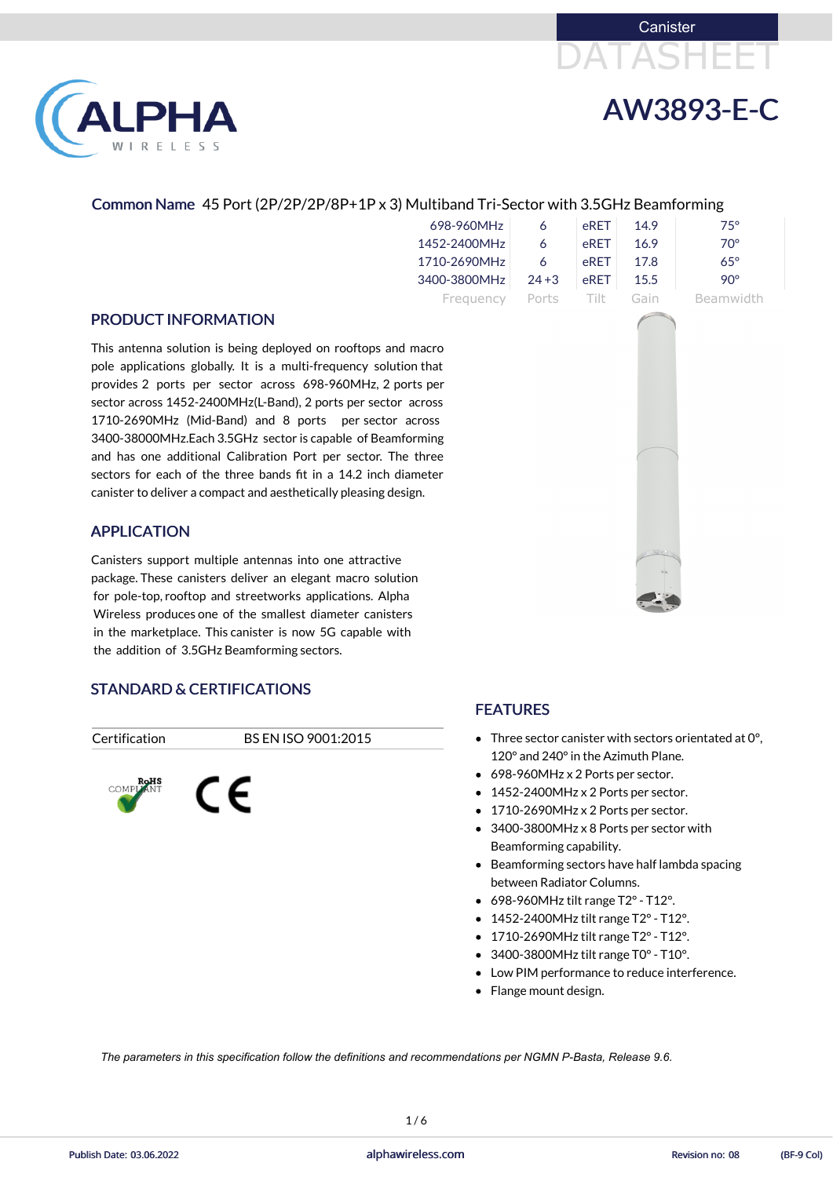





#### Common Name 45 Port (2P/2P/2P/8P+1P x 3) Multiband Tri-Sector with 3.5GHz Beamforming

| 698-960MHz   |          | eRET   | 149  | 75°        |
|--------------|----------|--------|------|------------|
| 1452-2400MHz | 6        | eRET   | 16.9 | 70°        |
| 1710-2690MHz | 6        | eRFT   | 17 R | $65^\circ$ |
| 3400-3800MHz | $24 + 3$ | eRET   | 15.5 | 90°        |
| Frequency    | Ports    | -Tilt- | Gain | Beamwidth  |

#### PRODUCT INFORMATION

This antenna solution is being deployed on rooftops and macro pole applications globally. It is a multi-frequency solution that provides 2 ports per sector across 698-960MHz, 2 ports per sector across 1452-2400MHz(L-Band), 2 ports per sector across 1710-2690MHz (Mid-Band) and 8 ports per sector across 3400-38000MHz.Each 3.5GHz sector is capable of Beamforming and has one additional Calibration Port per sector. The three sectors for each of the three bands fit in a 14.2 inch diameter canister to deliver a compact and aesthetically pleasing design.

- Three sector canister with sectors orientated at 0°, 120° and 240°in the Azimuth Plane.
- 698-960MHz x 2 Ports per sector.
- 1452-2400MHz x 2 Ports per sector.
- 1710-2690MHz x 2 Ports per sector.
- 3400-3800MHz x 8 Ports per sector with Beamforming capability.
- Beamforming sectors have half lambda spacing between Radiator Columns.

- 698-960MHz tilt range T2°- T12°.
- $\bullet$  1452-2400MHz tilt range T2° T12°.
- 1710-2690MHz tilt range T2° T12°.
- 3400-3800MHz tilt range T0° T10°.
- Low PIM performance to reduce interference.
- Flange mount design.



#### APPLICATION

Canisters support multiple antennas into one attractive package. These canisters deliver an elegant macro solution for pole-top, rooftop and streetworks applications. Alpha Wireless produces one of the smallest diameter canisters in the marketplace. This canister is now 5G capable with the addition of 3.5GHz Beamforming sectors.

# STANDARD & CERTIFICATIONS

#### Certification BS EN ISO 9001:2015



#### FEATURES

1 / 6

*The parameters in this specification follow the definitions and recommendations per NGMN P-Basta, Release 9.6.*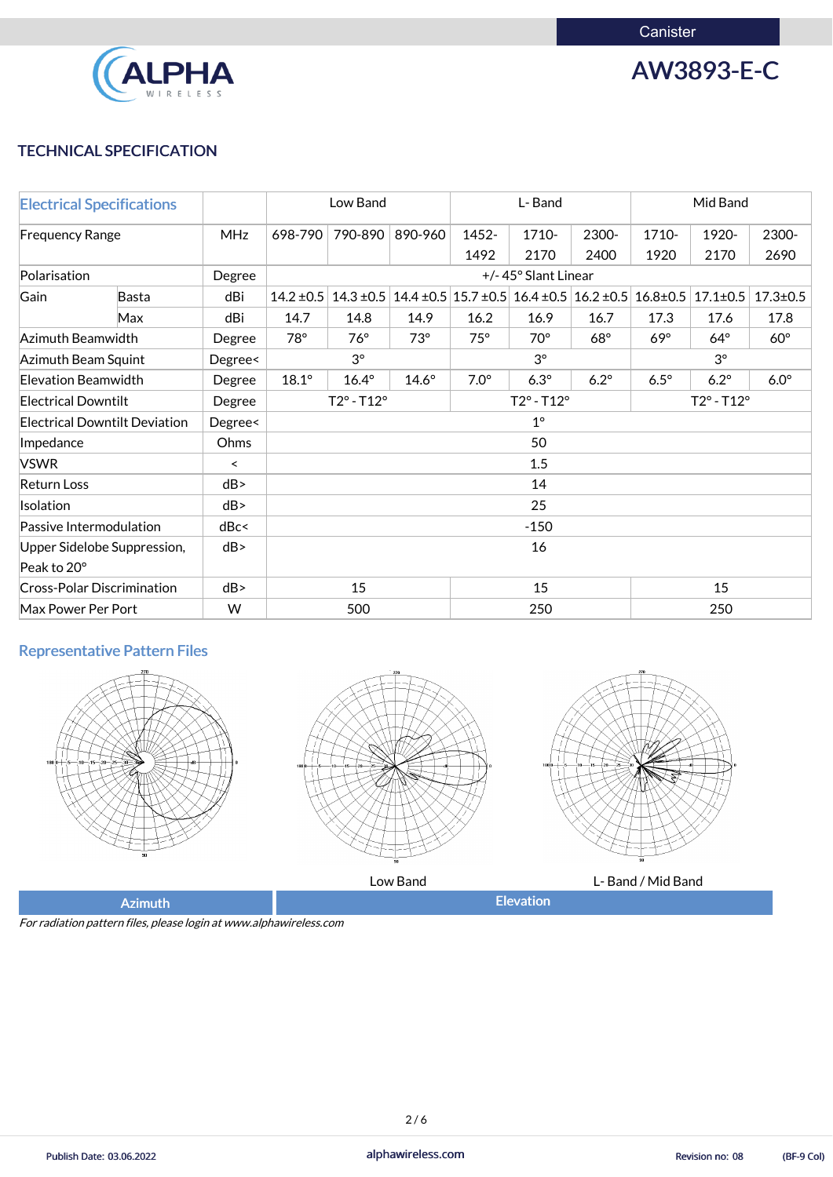

AW3893-E-C

### TECHNICAL SPECIFICATION

|                            | <b>Electrical Specifications</b>     | L-Band<br>Low Band |                | Mid Band                   |              |             |                                                                                |             |                            |                |                |
|----------------------------|--------------------------------------|--------------------|----------------|----------------------------|--------------|-------------|--------------------------------------------------------------------------------|-------------|----------------------------|----------------|----------------|
| <b>Frequency Range</b>     |                                      | <b>MHz</b>         | 698-790        | 790-890                    | 890-960      | 1452-       | 1710-                                                                          | 2300-       | 1710-                      | 1920-          | 2300-          |
|                            |                                      |                    |                |                            |              | 1492        | 2170                                                                           | 2400        | 1920                       | 2170           | 2690           |
| Polarisation               |                                      | Degree             |                | +/-45° Slant Linear        |              |             |                                                                                |             |                            |                |                |
| Gain                       | <b>Basta</b>                         | dBi                | $14.2 \pm 0.5$ | $14.3 \pm 0.5$             |              |             | $14.4 \pm 0.5 \pm 0.7 \pm 0.5 \pm 0.4 \pm 0.5 \pm 0.2 \pm 0.5 \pm 0.8 \pm 0.5$ |             |                            | $17.1 \pm 0.5$ | $17.3 \pm 0.5$ |
|                            | Max                                  | dBi                | 14.7           | 14.8                       | 14.9         | 16.2        | 16.9                                                                           | 16.7        | 17.3                       | 17.6           | 17.8           |
| Azimuth Beamwidth          |                                      | Degree             | $78^\circ$     | $76^\circ$                 | $73^\circ$   | $75^\circ$  | $70^\circ$                                                                     | $68^\circ$  | $69^\circ$                 | $64^\circ$     | $60^\circ$     |
| Azimuth Beam Squint        |                                      | Degree<            |                | $3^{\circ}$                |              |             | $3^\circ$                                                                      |             | $3^{\circ}$                |                |                |
| <b>Elevation Beamwidth</b> |                                      | Degree             | $18.1^\circ$   | $16.4^\circ$               | $14.6^\circ$ | $7.0^\circ$ | $6.3^\circ$                                                                    | $6.2^\circ$ | $6.5^\circ$                | $6.2^\circ$    | $6.0^\circ$    |
| <b>Electrical Downtilt</b> |                                      | Degree             |                | $T2^{\circ} - T12^{\circ}$ |              |             | $T2^{\circ} - T12^{\circ}$                                                     |             | $T2^{\circ} - T12^{\circ}$ |                |                |
|                            | <b>Electrical Downtilt Deviation</b> | Degree<            |                |                            |              |             | $1^{\circ}$                                                                    |             |                            |                |                |
| Impedance                  |                                      | Ohms               |                |                            |              |             | 50                                                                             |             |                            |                |                |
| <b>VSWR</b>                |                                      | $\,<\,$            |                |                            |              |             | 1.5                                                                            |             |                            |                |                |
| <b>Return Loss</b>         |                                      | dB                 |                |                            |              |             | 14                                                                             |             |                            |                |                |
| Isolation                  |                                      | dB                 |                |                            |              |             | 25                                                                             |             |                            |                |                |
| Passive Intermodulation    |                                      | dBc<               |                |                            |              |             | $-150$                                                                         |             |                            |                |                |
|                            | Upper Sidelobe Suppression,          | dB                 |                |                            | 16           |             |                                                                                |             |                            |                |                |
| Peak to 20°                |                                      |                    |                |                            |              |             |                                                                                |             |                            |                |                |
|                            | <b>Cross-Polar Discrimination</b>    | dB                 | 15             |                            | 15           |             | 15                                                                             |             |                            |                |                |
| Max Power Per Port         |                                      | W                  |                | 500                        |              |             | 250                                                                            |             | 250                        |                |                |

# Representative Pattern Files







Low Band **Let U.S. 2008** L- Band / Mid Band

For radiation pattern files, please login at www.alphawireless.com

Publish Date: 03.06.2022 **alphawireless.com** alphawireless.com Revision no: 08 (BF-9 Col)

Revision no: 08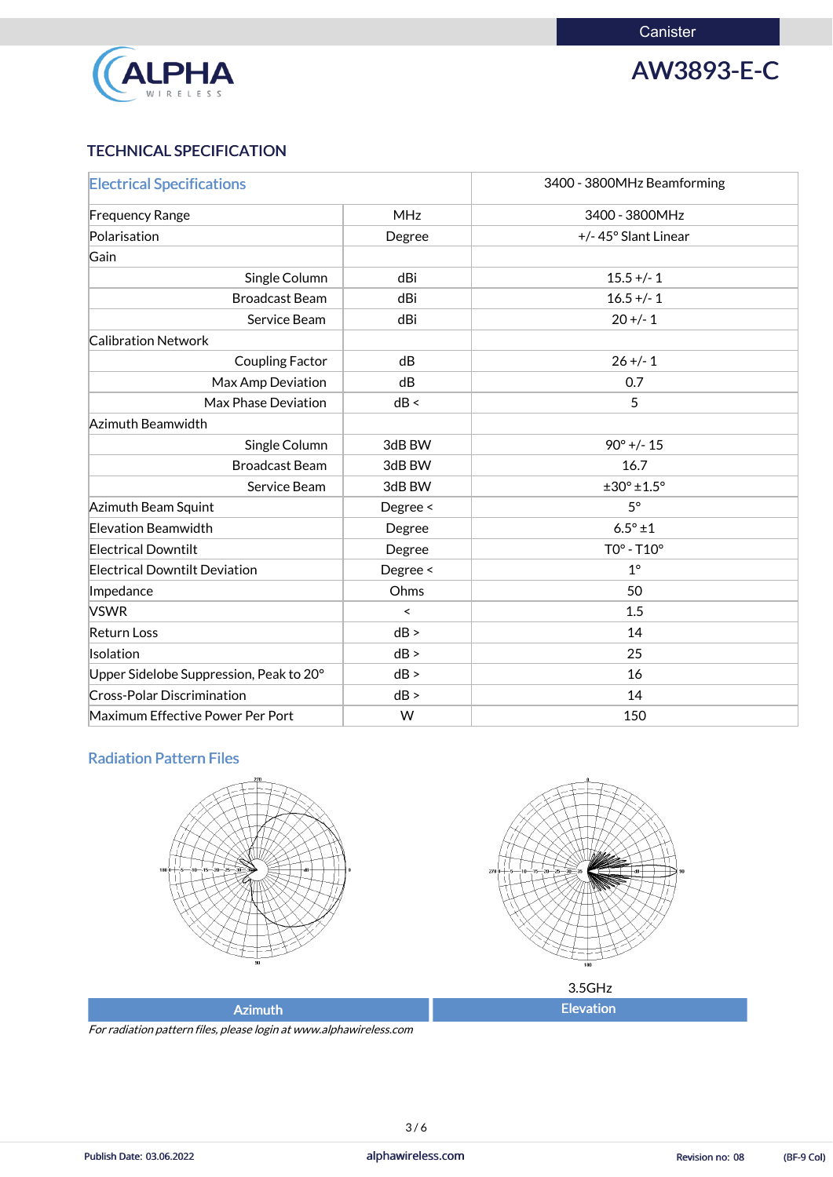**Canister** 



AW3893-E-C

# TECHNICAL SPECIFICATION

| <b>Electrical Specifications</b>        |            | 3400 - 3800MHz Beamforming |
|-----------------------------------------|------------|----------------------------|
| <b>Frequency Range</b>                  | <b>MHz</b> | 3400 - 3800MHz             |
| Polarisation                            | Degree     | +/-45° Slant Linear        |
| Gain                                    |            |                            |
| Single Column                           | dBi        | $15.5 +/- 1$               |
| <b>Broadcast Beam</b>                   | dBi        | $16.5 +/- 1$               |
| Service Beam                            | dBi        | $20 +/- 1$                 |
| <b>Calibration Network</b>              |            |                            |
| <b>Coupling Factor</b>                  | dB         | $26 + - 1$                 |
| Max Amp Deviation                       | dB         | 0.7                        |
| <b>Max Phase Deviation</b>              | dB <       | 5                          |
| Azimuth Beamwidth                       |            |                            |
| Single Column                           | 3dB BW     | $90^{\circ}$ +/- 15        |
| <b>Broadcast Beam</b>                   | 3dB BW     | 16.7                       |
| Service Beam                            | 3dB BW     | $±30^{\circ} ±1.5^{\circ}$ |
| Azimuth Beam Squint                     | Degree <   | $5^\circ$                  |
| <b>Elevation Beamwidth</b>              | Degree     | $6.5^{\circ}$ ±1           |
| <b>Electrical Downtilt</b>              | Degree     | $TOo - T1Oo$               |
| <b>Electrical Downtilt Deviation</b>    | Degree <   | $1^{\circ}$                |
| Impedance                               | Ohms       | 50                         |
| <b>VSWR</b>                             | $\prec$    | 1.5                        |
| <b>Return Loss</b>                      | dB >       | 14                         |
| Isolation                               | dB >       | 25                         |
| Upper Sidelobe Suppression, Peak to 20° | dB >       | 16                         |
| <b>Cross-Polar Discrimination</b>       | dB >       | 14                         |
| Maximum Effective Power Per Port        | W          | 150                        |

#### Radiation Pattern Files



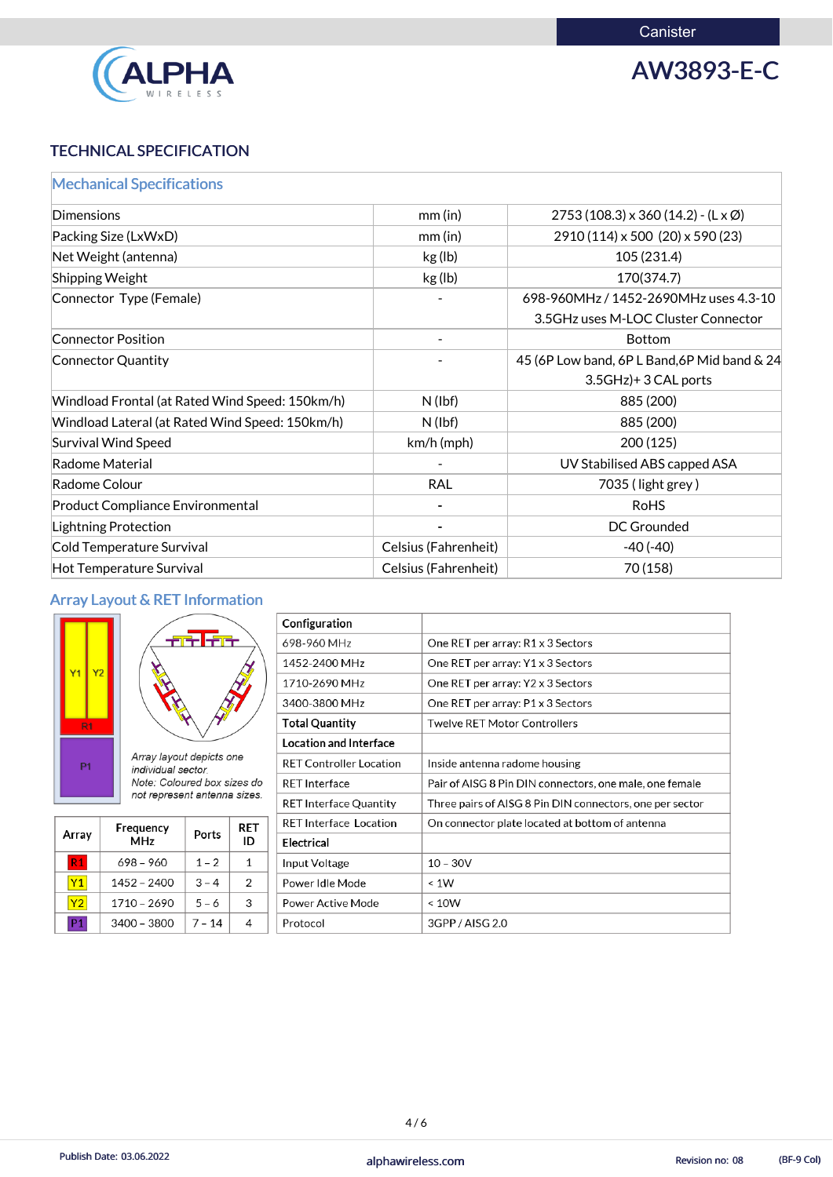

AW3893-E-C

# TECHNICAL SPECIFICATION

| <b>Mechanical Specifications</b>                |                             |                                                       |
|-------------------------------------------------|-----------------------------|-------------------------------------------------------|
| <b>Dimensions</b>                               | $mm$ (in)                   | $2753(108.3) \times 360(14.2) - (L \times \emptyset)$ |
| Packing Size (LxWxD)                            | mm(in)                      | 2910 (114) x 500 (20) x 590 (23)                      |
| Net Weight (antenna)                            | kg (lb)                     | 105 (231.4)                                           |
| <b>Shipping Weight</b>                          | kg (lb)                     | 170(374.7)                                            |
| Connector Type (Female)                         |                             | 698-960MHz / 1452-2690MHz uses 4.3-10                 |
|                                                 |                             | 3.5GHz uses M-LOC Cluster Connector                   |
| <b>Connector Position</b>                       |                             | <b>Bottom</b>                                         |
| <b>Connector Quantity</b>                       |                             | 45 (6P Low band, 6P L Band, 6P Mid band & 24          |
|                                                 |                             | 3.5GHz)+3 CAL ports                                   |
| Windload Frontal (at Rated Wind Speed: 150km/h) | $N$ (lbf)                   | 885 (200)                                             |
| Windload Lateral (at Rated Wind Speed: 150km/h) | $N$ (lbf)                   | 885 (200)                                             |
| <b>Survival Wind Speed</b>                      | $km/h$ (mph)                | 200(125)                                              |
| <b>Radome Material</b>                          |                             | UV Stabilised ABS capped ASA                          |
| Radome Colour                                   | <b>RAL</b>                  | 7035 (light grey)                                     |
| <b>Product Compliance Environmental</b>         |                             | <b>RoHS</b>                                           |
| <b>Lightning Protection</b>                     |                             | <b>DC Grounded</b>                                    |
| <b>Cold Temperature Survival</b>                | <b>Celsius (Fahrenheit)</b> | $-40(-40)$                                            |
| <b>Hot Temperature Survival</b>                 | Celsius (Fahrenheit)        | 70 (158)                                              |

# Array Layout & RET Information

| Y <sub>1</sub>       | Y <sub>2</sub> |  |  |  |
|----------------------|----------------|--|--|--|
| R <sub>1</sub><br>P1 |                |  |  |  |

| ara lara                                       |
|------------------------------------------------|
|                                                |
| Array layout depicts one<br>individual sector. |

Note: Coloured box sizes do not represent antenna sizes.

| Array | Frequency<br><b>MHz</b> | Ports   | RET<br>ID |
|-------|-------------------------|---------|-----------|
|       | 698 - 960               | $1 - 2$ |           |
|       | 1452 - 2400             | $3 - 4$ | 2         |

| Configuration                  |                                                          |
|--------------------------------|----------------------------------------------------------|
| 698-960 MHz                    | One RET per array: R1 x 3 Sectors                        |
| 1452-2400 MHz                  | One RET per array: Y1 x 3 Sectors                        |
| 1710-2690 MHz                  | One RET per array: Y2 x 3 Sectors                        |
| 3400-3800 MHz                  | One RET per array: P1 x 3 Sectors                        |
| <b>Total Quantity</b>          | Twelve RET Motor Controllers                             |
| <b>Location and Interface</b>  |                                                          |
| <b>RET Controller Location</b> | Inside antenna radome housing                            |
| <b>RET Interface</b>           | Pair of AISG 8 Pin DIN connectors, one male, one female  |
| <b>RET Interface Quantity</b>  | Three pairs of AISG 8 Pin DIN connectors, one per sector |
| <b>RET Interface Location</b>  | On connector plate located at bottom of antenna          |
| <b>Electrical</b>              |                                                          |
| Input Voltage                  | $10 - 30V$                                               |
| Power Idle Mode                | < 1W                                                     |

| vo | 2690<br>$710 -$ | $-$ O                                                | Power Active Mode | 10W                         |
|----|-----------------|------------------------------------------------------|-------------------|-----------------------------|
| n. | 380C<br>3400 -  | $\overline{\phantom{0}}$<br>$\overline{\phantom{a}}$ | Protocoi          | AISG<br>2.0<br>3G DL<br>JU. |

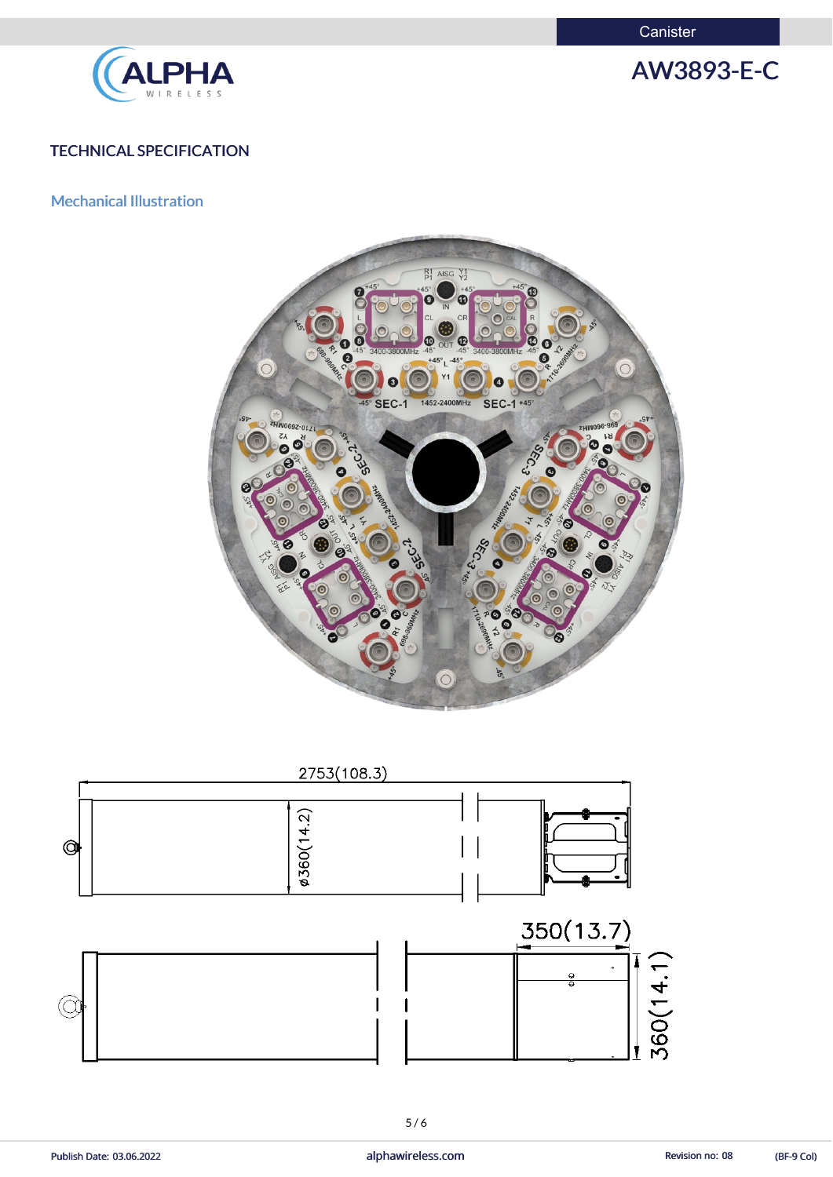**Canister** 



AW3893-E-C

#### TECHNICAL SPECIFICATION

Mechanical Illustration





Publish Date: 03.06.2022 **alphawireless.com** and alphawireless.com Revision no: 08